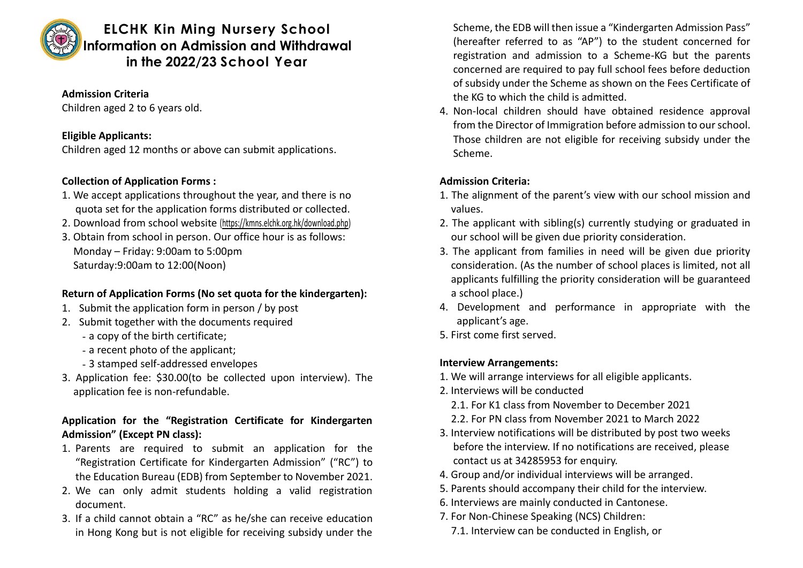

# **ELCHK Kin Ming Nursery School Information on Admission and Withdrawal in the 2022/23 School Year**

#### **Admission Criteria**

Children aged 2 to 6 years old.

### **Eligible Applicants:**

Children aged 12 months or above can submit applications.

# **Collection of Application Forms :**

- 1. We accept applications throughout the year, and there is no quota set for the application forms distributed or collected.
- 2. Download from school website [\(https://kmns.elchk.org.hk/download.php\)](https://kmns.elchk.org.hk/download.php)
- 3. Obtain from school in person. Our office hour is as follows: Monday – Friday: 9:00am to 5:00pm Saturday:9:00am to 12:00(Noon)

# **Return of Application Forms (No set quota for the kindergarten):**

- 1. Submit the application form in person / by post
- 2. Submit together with the documents required
	- a copy of the birth certificate;
	- a recent photo of the applicant;
	- 3 stamped self-addressed envelopes
- 3. Application fee: \$30.00(to be collected upon interview). The application fee is non-refundable.

# **Application for the "Registration Certificate for Kindergarten Admission" (Except PN class):**

- 1. Parents are required to submit an application for the "Registration Certificate for Kindergarten Admission" ("RC") to the Education Bureau (EDB) from September to November 2021.
- 2. We can only admit students holding a valid registration document.
- 3. If a child cannot obtain a "RC" as he/she can receive education in Hong Kong but is not eligible for receiving subsidy under the

Scheme, the EDB will then issue a "Kindergarten Admission Pass" (hereafter referred to as "AP") to the student concerned for registration and admission to a Scheme-KG but the parents concerned are required to pay full school fees before deduction of subsidy under the Scheme as shown on the Fees Certificate of the KG to which the child is admitted.

4. Non-local children should have obtained residence approval from the Director of Immigration before admission to our school. Those children are not eligible for receiving subsidy under the Scheme.

# **Admission Criteria:**

- 1. The alignment of the parent's view with our school mission and values.
- 2. The applicant with sibling(s) currently studying or graduated in our school will be given due priority consideration.
- 3. The applicant from families in need will be given due priority consideration. (As the number of school places is limited, not all applicants fulfilling the priority consideration will be guaranteed a school place.)
- 4. Development and performance in appropriate with the applicant's age.
- 5. First come first served.

# **Interview Arrangements:**

- 1. We will arrange interviews for all eligible applicants.
- 2. Interviews will be conducted
	- 2.1. For K1 class from November to December 2021
	- 2.2. For PN class from November 2021 to March 2022
- 3. Interview notifications will be distributed by post two weeks before the interview. If no notifications are received, please contact us at 34285953 for enquiry.
- 4. Group and/or individual interviews will be arranged.
- 5. Parents should accompany their child for the interview.
- 6. Interviews are mainly conducted in Cantonese.
- 7. For Non-Chinese Speaking (NCS) Children:
	- 7.1. Interview can be conducted in English, or